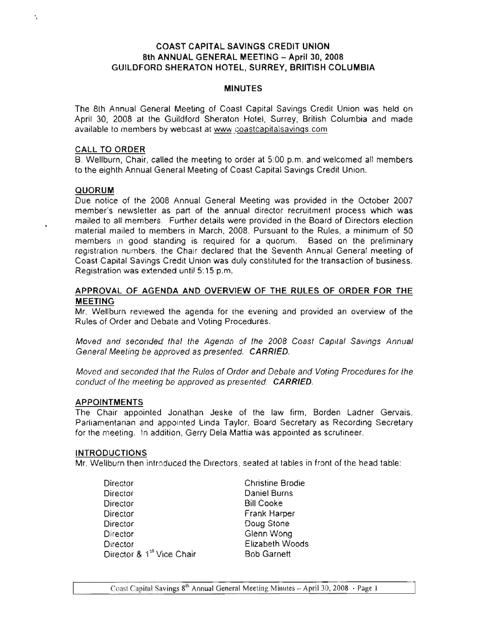# COAST CAPITAL SAVINGS CREDIT UNION 8th ANNUAL GENERAL MEETING - April 30, 2008 GUILDFORD SHERATON HOTEL, SURREY, BRUTISH COLUMBIA

#### MINUTES

The 8th Annual General Meeting of Coast Capital Savings Credit Union was held on April 30, 2008 at the Guildford Sheraton Hotel, Surrey, British Columbia and made available to members by webcast at www.coastcapitalsavings.com

#### CALL TO ORDER

B. Wellburn, Chair, called the meeting to order at 5:00 p.m. and welcomed all members to the eighth Annual General Meeting of Coast Capital Savings Credit Union.

### QUORUM

· ,

Due notice of the 2008 Annual General Meeting was provided in the October 2007 member's newsletter as part of the annual director recruitment process which was mailed to all members. Further details were provided in the Board of Directors election material mailed to members in March, 2008. Pursuant to the Rules, a minimum of 50 members in good standing is required for a quorum. Based on the preliminary registration numbers, the Chair declared that the Seventh Annual General meeting of Coast Capital Savings Credit Union was duly constituted for the transaction of business. Registration was extended until 5: 15 p.m.

### APPROVAL OF AGENDA AND OVERVIEW OF THE RULES OF ORDER FOR THE MEETING

Mr. Wellburn reviewed the agenda for the evening and provided an overview of the Rules of Order and Debate and Voting Procedures.

Moved and seconded that the Agenda of the 2008 Coast Capital Savings Annual General Meeting be approved as presented. CARRIED.

Moved and seconded that the Rules of Order and Debate and Voting Procedures for the conduct of the meeting be approved as presented. **CARRIED.** 

### APPOINTMENTS

The Chair appointed Jonathan Jeske of the law firm, Borden Ladner Gervais, Parliamentarian and appointed Linda Taylor, Board Secretary as Recording Secretary for the meeting. In addition, Gerry Dela Mattia was appointed as scrutineer.

#### INTRODUCTIONS

Mr. Wellburn then introduced the Directors, seated at tables in front of the head table:

| <b>Christine Brodie</b> |
|-------------------------|
| Daniel Burns            |
| <b>Bill Cooke</b>       |
| <b>Frank Harper</b>     |
| Doug Stone              |
| Glenn Wong              |
| Elizabeth Woods         |
| <b>Bob Garnett</b>      |
|                         |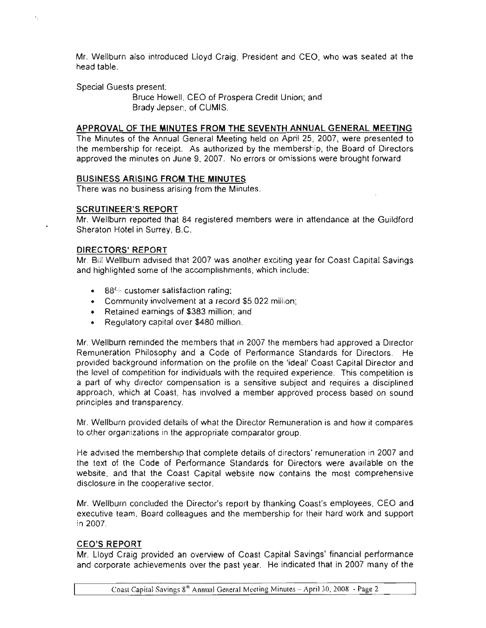Mr. Wellbum also introduced lloyd Craig, President and CEO, who was seated at the head table.

Special Guests present:

Bruce Howell, CEO of Prospera Credit Union; and Brady Jepsen, of CUMIS.

### APPROVAL OF THE MINUTES FROM THE SEVENTH ANNUAL GENERAL MEETING

The Minutes of the Annual General Meeting held on April 25, 2007, were presented to the membership for receipt. As authorized by the membership, the Board of Directors approved the minutes on June 9, 2007. No errors or omissions were brought forward.

### BUSINESS ARISING FROM THE MINUTES

There was no business arising from the Minutes.

### SCRUTINEER'S REPORT

Mr. Wellbum reported that 84 registered members were in attendance at the Guildford Sheraton Hotel in Surrey, B.C.

### DIRECTORS' REPORT

Mr. Bill Wellbum advised that 2007 was another exciting year for Coast Capital Savings and highlighted some of the accomplishments, which include:

- 88% customer satisfaction rating;
- Community involvement at a record \$5.022 million;
- Retained earnings of \$383 million; and
- Regulatory capital over \$480 million.

Mr. Wellburn reminded the members that in 2007 the members had approved a Director Remuneration Philosophy and a Code of Performance Standards for Directors. He provided background information on the profile on the 'ideal' Coast Capital Director and the level of competition for individuals with the required experience. This competition is a part of why director compensation is a sensitive subject and requires a disciplined approach, which at Coast, has involved a member approved process based on sound principles and transparency.

Mr. Wellburn provided details of what the Director Remuneration is and how it compares to other organizations in the appropriate comparator group.

He advised the membership that complete details of directors' remuneration in 2007 and the text of the Code of Performance Standards for Directors were available on the website, and that the Coast Capital website now contains the most comprehensive disclosure in the cooperative sector.

Mr. Wellburn concluded the Director's report by thanking Coast's employees, CEO and executive team, Board colleagues and the membership for their hard work and support in 2007.

# CEO'S REPORT

Mr. lloyd Craig provided an overview of Coast Capital Savings' financial performance and corporate achievements over the past year. He indicated that in 2007 many of the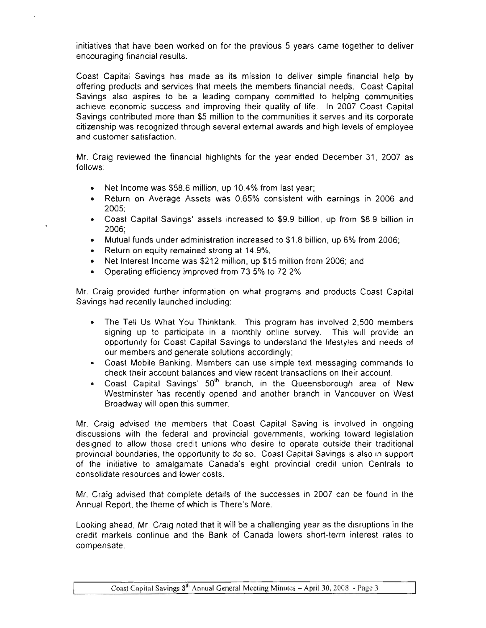initiatives that have been worked on for the previous 5 years came together to deliver encouraging financial results.

Coast Capital Savings has made as its mission to deliver simple financial help by offering products and services that meets the members financial needs. Coast Capital Savings also aspires to be a leading company committed to helping communities achieve economic success and improving their quality of life. In 2007 Coast Capital Savings contributed more than \$5 million to the communities it serves and its corporate citizenship was recognized through several external awards and high levels of employee and customer satisfaction.

Mr. Craig reviewed the financial highlights for the year ended December 31, 2007 as follows:

- Net Income was \$58.6 million, up 10.4% from last year;
- Return on Average Assets was 0.65% consistent with earnings in 2006 and 2005;
- Coast Capital Savings' assets increased to \$9.9 billion, up from \$8.9 billion in 2006;
- Mutual funds under administration increased to \$1.8 billion, up 6% from 2006;
- Return on equity remained strong at 14.9%;

•

- Net Interest Income was \$212 million, up \$15 million from 2006; and
- Operating efficiency improved from 73.5% to 72.2%.

Mr. Craig provided further information on what programs and products Coast Capital Savings had recently launched including:

- The Tell Us What You Thinktank. This program has involved 2,500 members signing up to participate in a monthly online survey. This will provide an opportunity for Coast Capital Savings to understand the lifestyles and needs of our members and generate solutions accordingly;
- Coast Mobile Banking. Members can use simple text messaging commands to check their account balances and view recent transactions on their account.
- Coast Capital Savings'  $50<sup>th</sup>$  branch, in the Queensborough area of New Westminster has recently opened and another branch in Vancouver on West Broadway will open this summer.

Mr. Craig advised the members that Coast Capital Saving is involved in ongoing discussions with the federal and provincial governments, working toward legislation designed to allow those credit unions who desire to operate outside their traditional provincial boundaries, the opportunity to do so. Coast Capital Savings is also in support of the initiative to amalgamate Canada's eight provincial credit union Centrals to consolidate resources and lower costs.

Mr. Craig advised that complete details of the successes in 2007 can be found in the Annual Report, the theme of which is There's More.

Looking ahead, Mr. Craig noted that it will be a challenging year as the disruptions in the credit markets continue and the Bank of Canada lowers short-term interest rates to compensate.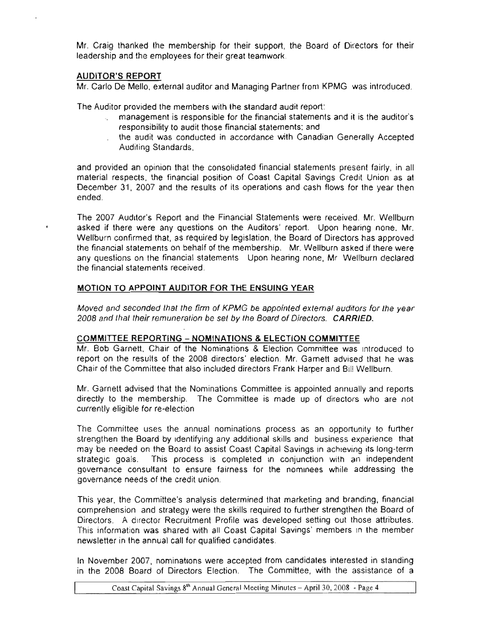Mr. Craig thanked the membership for their support, the Board of Directors for their leadership and the employees for their great teamwork.

# AUDITOR'S REPORT

Mr. Carlo De Mello, external auditor and Managing Partner from KPMG, was introduced.

The Auditor provided the members with the standard audit report:

- management is responsible for the financial statements and it is the auditor's responsibility to audit those financial statements; and
- the audit was conducted in accordance with Canadian Generally Accepted Auditing Standards,

and provided an opinion that the consolidated financial statements present fairly, in all material respects, the financial position of Coast Capital Savings Credit Union as at December 31, 2007 and the results of its operations and cash flows for the year then ended.

The 2007 Auditor's Report and the Financial Statements were received. Mr. Wellburn asked if there were any questions on the Auditors' report. Upon hearing none, Mr. Wellburn confirmed that, as required by legislation, the Board of Directors has approved the financial statements on behalf of the membership. Mr. Wellburn asked if there were any questions on the financial statements. Upon hearing none, Mr. Wellburn declared the financial statements received.

# MOTION TO APPOINT AUDITOR FOR THE ENSUING YEAR

Moved and seconded that the firm of KPMG be appointed external auditors for the year 2008 and that their remuneration be set by the Board of Directors. CARRIED.

### COMMITIEE REPORTING - NOMINATIONS & ELECTION COMMITIEE

Mr. Bob Garnett, Chair of the Nominations & Election Committee was introduced to report on the results of the 2008 directors' election. Mr. Garnett advised that he was Chair of the Committee that also included directors Frank Harper and Bill Wellburn.

Mr. Garnett advised that the Nominations Committee is appointed annually and reports directly to the membership. The Committee is made up of directors who are not currently eligible for re-election.

The Committee uses the annual nominations process as an opportunity to further strengthen the Board by identifying any additional skills and business experience that may be needed on the Board to assist Coast Capital Savings in achieving its long-term strategic goals. This process is completed in conjunction with an independent governance consultant to ensure fairness for the nominees while addressing the governance needs of the credit union.

This year, the Committee's analysis determined that marketing and branding, financial comprehension, and strategy were the skills required to further strengthen the Board of Directors. A director Recruitment Profile was developed setting out those attributes. This information was shared with all Coast Capital Savings' members in the member newsletter in the annual call for qualified candidates.

In November 2007, nominations were accepted from candidates interested in standing in the 2008 Board of Directors Election. The Committee, with the assistance of a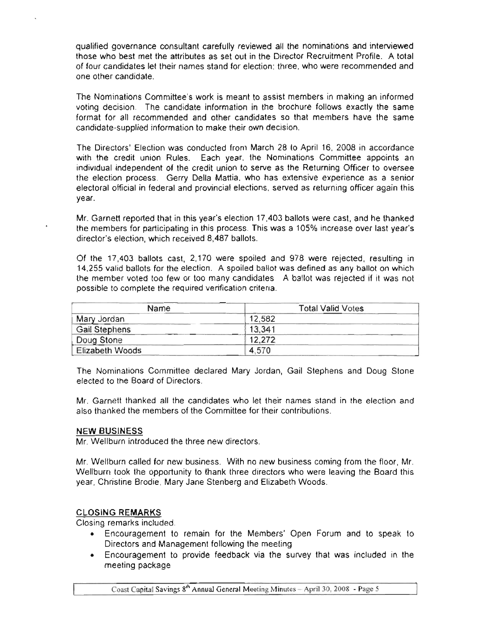qualified governance consultant carefully reviewed all the nominations and interviewed those who best met the attributes as set out in the Director Recruitment Profile. A total of four candidates let their names stand for election: three, who were recommended and one other candidate.

The Nominations Committee's work is meant to assist members in making an informed voting decision. The candidate information in the brochure follows exactly the same format for all recommended and other candidates so that members have the same candidate·supplied information to make their own decision.

The Directors' Election was conducted from March 28 to April 16, 2008 in accordance with the credit union Rules. Each year, the Nominations Committee appoints an individual independent of the credit union to serve as the Returning Officer to oversee the election process. Gerry Della Mattia, who has extensive experience as a senior electoral official in federal and provincial elections, served as returning officer again this year.

Mr. Garnett reported that in this year's election 17,403 ballots were cast, and he thanked the members for participating in this process. This was a 105% increase over last year's director's election, which received 8,487 ballots.

Of the 17,403 ballots cast, 2,170 were spoiled and 978 were rejected, resulting in 14,255 valid ballots for the election. A spoiled ballot was defined as any ballot on which the member voted too few or too many candidates. A ballot was rejected if it was not possible to complete the required verification criteria.

| Name            | <b>Total Valid Votes</b> |
|-----------------|--------------------------|
| Mary Jordan     | 12.582                   |
| Gail Stephens   | 13,341                   |
| Doug Stone      | 12,272                   |
| Elizabeth Woods | 4,570                    |

The Nominations Committee declared Mary Jordan, Gail Stephens and Doug Stone elected to the Board of Directors.

Mr. Garnett thanked all the candidates who let their names sland in the election and also thanked the members of the Committee for their contributions.

### NEW BUSINESS

Mr. Wellburn introduced the three new directors.

Mr. Wellburn called for new business. With no new business coming from the floor, Mr. Wellburn took the opportunity to thank three directors who were leaving the Board this year, Christine Brodie, Mary Jane Stenberg and Elizabeth Woods.

# CLOSING REMARKS

Closing remarks included:

- Encouragement to remain for the Members' Open Forum and to speak to Directors and Management following the meeting
- Encouragement to provide feedback via the survey that was included in the meeting package